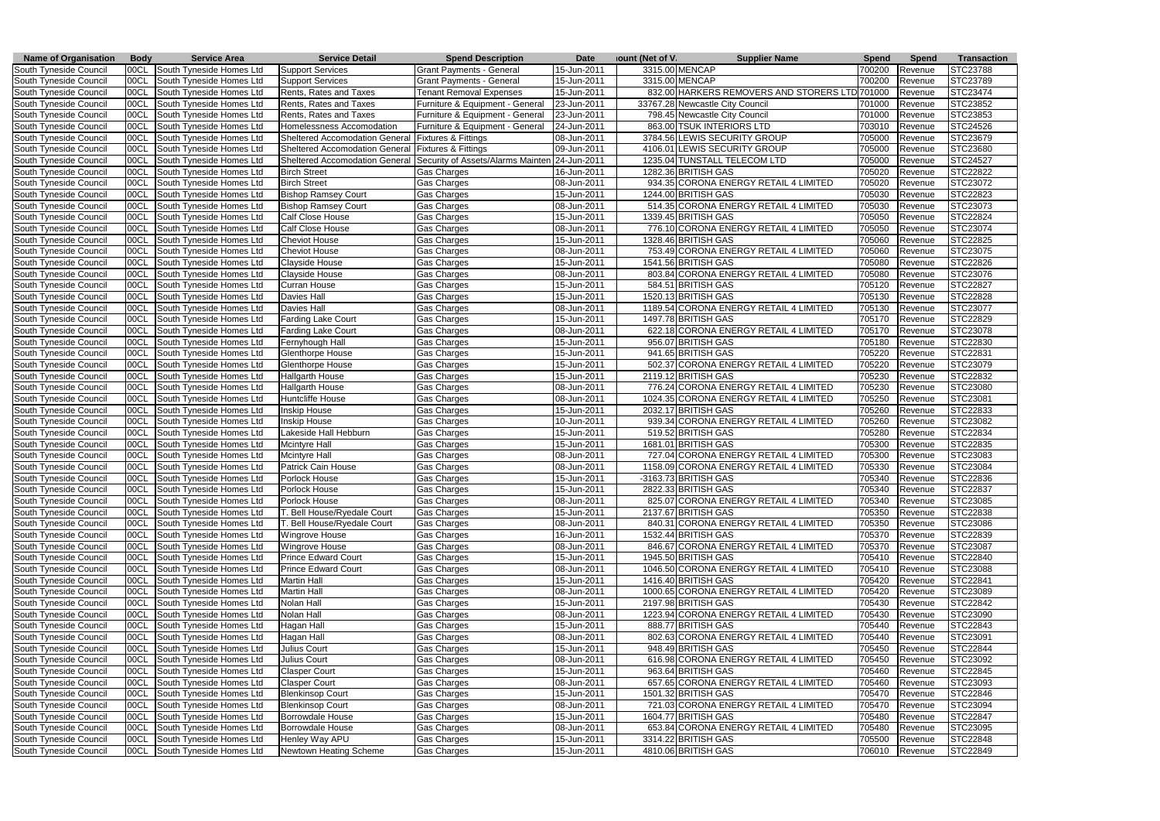| <b>Name of Organisation</b> | <b>Body</b> | <b>Service Area</b>           | <b>Service Detail</b>          | <b>Spend Description</b>                                         | <b>Date</b>         | <b>Jount (Net of V)</b> | <b>Supplier Name</b>                           | <b>Spend</b> | <b>Spend</b>   | <b>Transaction</b> |
|-----------------------------|-------------|-------------------------------|--------------------------------|------------------------------------------------------------------|---------------------|-------------------------|------------------------------------------------|--------------|----------------|--------------------|
| South Tyneside Council      | 00CL        | South Tyneside Homes Ltd      | Support Services               | <b>Grant Payments - General</b>                                  | 15-Jun-2011         |                         | 3315.00 MENCAP                                 | 700200       | Revenue        | STC23788           |
| South Tyneside Council      | 00CL        | South Tyneside Homes Ltd      | Support Services               | <b>Grant Payments - General</b>                                  | 15-Jun-2011         |                         | 3315.00 MENCAP                                 | 700200       | Revenue        | STC23789           |
| South Tyneside Council      | 00CL        | South Tyneside Homes Ltd      | Rents, Rates and Taxes         | <b>Tenant Removal Expenses</b>                                   | 15-Jun-2011         |                         | 832.00 HARKERS REMOVERS AND STORERS LTD 701000 |              | Revenue        | STC23474           |
| South Tyneside Council      | 00CL        | South Tyneside Homes Ltd      | Rents, Rates and Taxes         | Furniture & Equipment - General                                  | 23-Jun-2011         |                         | 33767.28 Newcastle City Council                | 701000       | Revenue        | STC23852           |
| South Tyneside Council      | 00CL        | South Tyneside Homes Ltd      | Rents, Rates and Taxes         | Furniture & Equipment - General                                  | 23-Jun-2011         |                         | 798.45 Newcastle City Council                  | 701000       | Revenue        | STC23853           |
| South Tyneside Council      | 00CL        | South Tyneside Homes Ltd      | Homelessness Accomodation      | Furniture & Equipment - General                                  | 24-Jun-2011         |                         | 863.00 TSUK INTERIORS LTD                      | 703010       | Revenue        | STC24526           |
| South Tyneside Council      | 00CL        | South Tyneside Homes Ltd      | Sheltered Accomodation General | Fixtures & Fittings                                              | 08-Jun-2011         |                         | 3784.56 LEWIS SECURITY GROUP                   | 705000       | Revenue        | STC23679           |
| South Tyneside Council      | 00CL        | South Tyneside Homes Ltd      | Sheltered Accomodation General | <b>Fixtures &amp; Fittings</b>                                   | 09-Jun-2011         |                         | 4106.01 LEWIS SECURITY GROUP                   | 705000       | Revenue        | STC23680           |
| South Tyneside Council      | 00CL        | South Tyneside Homes Ltd      |                                | Sheltered Accomodation General Security of Assets/Alarms Mainten | 24-Jun-2011         |                         | 1235.04 TUNSTALL TELECOM LTD                   | 705000       | Revenue        | STC24527           |
| South Tyneside Council      | 00CL        | South Tyneside Homes Ltd      | <b>Birch Street</b>            | Gas Charges                                                      | 16-Jun-2011         |                         | 1282.36 BRITISH GAS                            | 705020       | Revenue        | STC22822           |
| South Tyneside Council      | 00CL        | South Tyneside Homes Ltd      | <b>Birch Street</b>            | Gas Charges                                                      | 08-Jun-2011         |                         | 934.35 CORONA ENERGY RETAIL 4 LIMITED          | 705020       | Revenue        | STC23072           |
| South Tyneside Council      | 00CL        | South Tyneside Homes Ltd      | <b>Bishop Ramsey Court</b>     | Gas Charges                                                      | 15-Jun-2011         |                         | 1244.00 BRITISH GAS                            | 705030       | Revenue        | STC22823           |
| South Tyneside Council      | 00CL        | South Tyneside Homes Ltd      | <b>Bishop Ramsey Court</b>     | Gas Charges                                                      | 08-Jun-201 <i>′</i> |                         | 514.35 CORONA ENERGY RETAIL 4 LIMITED          | 705030       | Revenue        | STC23073           |
| South Tyneside Council      | 00CL        | South Tyneside Homes Ltd      | Calf Close House               | Gas Charges                                                      | 15-Jun-2011         |                         | 1339.45 BRITISH GAS                            | 705050       | Revenue        | STC22824           |
| South Tyneside Council      | 00CL        | South Tyneside Homes Ltd      | Calf Close House               | Gas Charges                                                      | 08-Jun-2011         |                         | 776.10 CORONA ENERGY RETAIL 4 LIMITED          | 705050       | Revenue        | STC23074           |
| South Tyneside Council      | 00CL        | South Tyneside Homes Ltd      | <b>Cheviot House</b>           | Gas Charges                                                      | 15-Jun-2011         |                         | 1328.46 BRITISH GAS                            | 705060       | Revenue        | STC22825           |
| South Tyneside Council      | 00CL        | South Tyneside Homes Ltd      | <b>Cheviot House</b>           | Gas Charges                                                      | 08-Jun-2011         |                         | 753.49 CORONA ENERGY RETAIL 4 LIMITED          | 705060       | Revenue        | STC23075           |
| South Tyneside Council      | 00CL        | South Tyneside Homes Ltd      | Clayside House                 | Gas Charges                                                      | 15-Jun-2011         |                         | 1541.56 BRITISH GAS                            | 705080       | Revenue        | STC22826           |
| South Tyneside Council      | 00CL        | South Tyneside Homes Ltd      | Clayside House                 | Gas Charges                                                      | 08-Jun-2011         |                         | 803.84 CORONA ENERGY RETAIL 4 LIMITED          | 705080       | Revenue        | STC23076           |
| South Tyneside Council      | 00CL        | South Tyneside Homes Ltd      | Curran House                   | Gas Charges                                                      | 15-Jun-2011         |                         | 584.51 BRITISH GAS                             | 705120       | Revenue        | STC22827           |
| South Tyneside Council      | 00CL        | South Tyneside Homes Ltd      | Davies Hall                    | Gas Charges                                                      | 15-Jun-2011         |                         | 1520.13 BRITISH GAS                            | 705130       | Revenue        | STC22828           |
| South Tyneside Council      | 00CL        | South Tyneside Homes Ltd      | Davies Hall                    | Gas Charges                                                      | 08-Jun-2011         |                         | 1189.54 CORONA ENERGY RETAIL 4 LIMITED         | 705130       | Revenue        | STC23077           |
| South Tyneside Council      | 00CL        | South Tyneside Homes Ltd      | <b>Farding Lake Court</b>      | Gas Charges                                                      | 15-Jun-2011         |                         | 1497.78 BRITISH GAS                            | 705170       | Revenue        | STC22829           |
| South Tyneside Council      | 00CL        | South Tyneside Homes Ltd      | <b>Farding Lake Court</b>      | Gas Charges                                                      | 08-Jun-2011         |                         | 622.18 CORONA ENERGY RETAIL 4 LIMITED          | 705170       | Revenue        | STC23078           |
| South Tyneside Council      | 00CL        | South Tyneside Homes Ltd      | Fernyhough Hall                | Gas Charges                                                      | 15-Jun-2011         |                         | 956.07 BRITISH GAS                             | 705180       | Revenue        | STC22830           |
| South Tyneside Council      | 00CL        | South Tyneside Homes Ltd      | Glenthorpe House               | Gas Charges                                                      | 15-Jun-2011         |                         | 941.65 BRITISH GAS                             | 705220       | Revenue        | STC22831           |
| South Tyneside Council      | 00CL        | South Tyneside Homes Ltd      | Glenthorpe House               | Gas Charges                                                      | 15-Jun-2011         |                         | 502.37 CORONA ENERGY RETAIL 4 LIMITED          | 705220       | Revenue        | STC23079           |
|                             | 00CL        | South Tyneside Homes Ltd      | <b>Hallgarth House</b>         | Gas Charges                                                      | 15-Jun-2011         |                         | 2119.12 BRITISH GAS                            | 705230       | Revenue        | STC22832           |
| South Tyneside Council      |             |                               |                                |                                                                  |                     |                         | 776.24 CORONA ENERGY RETAIL 4 LIMITED          |              |                | STC23080           |
| South Tyneside Council      | 00CL        | South Tyneside Homes Ltd      | Hallgarth House                | Gas Charges                                                      | 08-Jun-201 <i>1</i> |                         |                                                | 705230       | Revenue        | STC23081           |
| South Tyneside Council      | 00CL        | South Tyneside Homes Ltd      | Huntcliffe House               | Gas Charges                                                      | 08-Jun-2011         |                         | 1024.35 CORONA ENERGY RETAIL 4 LIMITED         | 705250       | Revenue        |                    |
| South Tyneside Council      | 00CL        | South Tyneside Homes Ltd      | Inskip House                   | Gas Charges                                                      | 15-Jun-2011         |                         | 2032.17 BRITISH GAS                            | 705260       | Revenue        | STC22833           |
| South Tyneside Council      | 00CL        | South Tyneside Homes Ltd      | <b>Inskip House</b>            | Gas Charges                                                      | 10-Jun-2011         |                         | 939.34 CORONA ENERGY RETAIL 4 LIMITED          | 705260       | Revenue        | STC23082           |
| South Tyneside Council      | 00CL        | South Tyneside Homes Ltd      | Lakeside Hall Hebburn          | Gas Charges                                                      | 15-Jun-2011         |                         | 519.52 BRITISH GAS                             | 705280       | Revenue        | STC22834           |
| South Tyneside Council      | 00CL        | South Tyneside Homes Ltd      | Mcintyre Hall                  | Gas Charges                                                      | 15-Jun-2011         |                         | 1681.01 BRITISH GAS                            | 705300       | Revenue        | STC22835           |
| South Tyneside Council      | 00CL        | South Tyneside Homes Ltd      | Mcintyre Hall                  | Gas Charges                                                      | 08-Jun-2011         |                         | 727.04 CORONA ENERGY RETAIL 4 LIMITED          | 705300       | Revenue        | STC23083           |
| South Tyneside Council      | 00CL        | South Tyneside Homes Ltd      | Patrick Cain House             | Gas Charges                                                      | 08-Jun-2011         |                         | 1158.09 CORONA ENERGY RETAIL 4 LIMITED         | 705330       | Revenue        | STC23084           |
| South Tyneside Council      | 00CL        | South Tyneside Homes Ltd      | Porlock House                  | Gas Charges                                                      | 15-Jun-2011         |                         | -3163.73 BRITISH GAS                           | 705340       | Revenue        | STC22836           |
| South Tyneside Council      |             | 00CL South Tyneside Homes Ltd | Porlock House                  | Gas Charges                                                      | 15-Jun-2011         |                         | 2822.33 BRITISH GAS                            |              | 705340 Revenue | STC22837           |
| South Tyneside Council      | 00CL        | South Tyneside Homes Ltd      | Porlock House                  | <b>Gas Charges</b>                                               | 08-Jun-2011         |                         | 825.07 CORONA ENERGY RETAIL 4 LIMITED          | 705340       | Revenue        | STC23085           |
| South Tyneside Council      | 00CL        | South Tyneside Homes Ltd      | T. Bell House/Ryedale Court    | Gas Charges                                                      | 15-Jun-2011         |                         | 2137.67 BRITISH GAS                            | 705350       | Revenue        | STC22838           |
| South Tyneside Council      | 00CL        | South Tyneside Homes Ltd      | T. Bell House/Ryedale Court    | Gas Charges                                                      | 08-Jun-2011         |                         | 840.31 CORONA ENERGY RETAIL 4 LIMITED          | 705350       | Revenue        | STC23086           |
| South Tyneside Council      | 00CL        | South Tyneside Homes Ltd      | <b>Wingrove House</b>          | <b>Gas Charges</b>                                               | 16-Jun-2011         |                         | 1532.44 BRITISH GAS                            | 705370       | Revenue        | STC22839           |
| South Tyneside Council      | 00CL        | South Tyneside Homes Ltd      | Wingrove House                 | Gas Charges                                                      | 08-Jun-2011         |                         | 846.67 CORONA ENERGY RETAIL 4 LIMITED          | 705370       | Revenue        | STC23087           |
| South Tyneside Council      | 00CL        | South Tyneside Homes Ltd      | <b>Prince Edward Court</b>     | Gas Charges                                                      | 15-Jun-2011         |                         | 1945.50 BRITISH GAS                            | 705410       | Revenue        | STC22840           |
| South Tyneside Council      | 00CL        | South Tyneside Homes Ltd      | <b>Prince Edward Court</b>     | Gas Charges                                                      | 08-Jun-2011         |                         | 1046.50 CORONA ENERGY RETAIL 4 LIMITED         | 705410       | Revenue        | STC23088           |
| South Tyneside Council      | 00CL        | South Tyneside Homes Ltd      | Martin Hall                    | Gas Charges                                                      | 15-Jun-2011         |                         | 1416.40 BRITISH GAS                            | 705420       | Revenue        | STC22841           |
| South Tyneside Council      | 00CL        | South Tyneside Homes Ltd      | <b>Martin Hall</b>             | Gas Charges                                                      | 08-Jun-2011         |                         | 1000.65 CORONA ENERGY RETAIL 4 LIMITED         | 705420       | Revenue        | STC23089           |
| South Tyneside Council      | 00CL        | South Tyneside Homes Ltd      | Nolan Hall                     | Gas Charges                                                      | 15-Jun-2011         |                         | 2197.98 BRITISH GAS                            | 705430       | Revenue        | STC22842           |
| South Tyneside Council      | 00CL        | South Tyneside Homes Ltd      | Nolan Hall                     | Gas Charges                                                      | 08-Jun-2011         |                         | 1223.94 CORONA ENERGY RETAIL 4 LIMITED         | 705430       | Revenue        | STC23090           |
| South Tyneside Council      | 00CL        | South Tyneside Homes Ltd      | Hagan Hall                     | Gas Charges                                                      | 15-Jun-2011         |                         | 888.77 BRITISH GAS                             | 705440       | Revenue        | STC22843           |
| South Tyneside Council      | 00CL        | South Tyneside Homes Ltd      | Hagan Hall                     | Gas Charges                                                      | 08-Jun-2011         |                         | 802.63 CORONA ENERGY RETAIL 4 LIMITED          | 705440       | Revenue        | STC23091           |
| South Tyneside Council      | 00CL        | South Tyneside Homes Ltd      | Julius Court                   | Gas Charges                                                      | 15-Jun-2011         |                         | 948.49 BRITISH GAS                             | 705450       | Revenue        | STC22844           |
| South Tyneside Council      | 00CL        | South Tyneside Homes Ltd      | Julius Court                   | <b>Gas Charges</b>                                               | 08-Jun-2011         |                         | 616.98 CORONA ENERGY RETAIL 4 LIMITED          | 705450       | Revenue        | STC23092           |
| South Tyneside Council      | 00CL        | South Tyneside Homes Ltd      | <b>Clasper Court</b>           | Gas Charges                                                      | 15-Jun-2011         |                         | 963.64 BRITISH GAS                             | 705460       | Revenue        | STC22845           |
| South Tyneside Council      | 00CL        | South Tyneside Homes Ltd      | <b>Clasper Court</b>           | Gas Charges                                                      | 08-Jun-2011         |                         | 657.65 CORONA ENERGY RETAIL 4 LIMITED          | 705460       | Revenue        | STC23093           |
| South Tyneside Council      | 00CL        | South Tyneside Homes Ltd      | <b>Blenkinsop Court</b>        | Gas Charges                                                      | 15-Jun-2011         |                         | 1501.32 BRITISH GAS                            | 705470       | Revenue        | STC22846           |
| South Tyneside Council      | 00CL        | South Tyneside Homes Ltd      | <b>Blenkinsop Court</b>        | Gas Charges                                                      | 08-Jun-2011         |                         | 721.03 CORONA ENERGY RETAIL 4 LIMITED          | 705470       | Revenue        | STC23094           |
| South Tyneside Council      | 00CL        | South Tyneside Homes Ltd      | Borrowdale House               | Gas Charges                                                      | 15-Jun-2011         |                         | 1604.77 BRITISH GAS                            | 705480       | Revenue        | STC22847           |
| South Tyneside Council      | 00CL        | South Tyneside Homes Ltd      | Borrowdale House               | Gas Charges                                                      | 08-Jun-2011         |                         | 653.84 CORONA ENERGY RETAIL 4 LIMITED          | 705480       | Revenue        | STC23095           |
| South Tyneside Council      | 00CL        | South Tyneside Homes Ltd      | <b>Henley Way APU</b>          | Gas Charges                                                      | 15-Jun-2011         |                         | 3314.22 BRITISH GAS                            | 705500       | Revenue        | STC22848           |
| South Tyneside Council      | 00CL        | South Tyneside Homes Ltd      | Newtown Heating Scheme         | <b>Gas Charges</b>                                               | 15-Jun-2011         |                         | 4810.06 BRITISH GAS                            | 706010       | Revenue        | STC22849           |
|                             |             |                               |                                |                                                                  |                     |                         |                                                |              |                |                    |